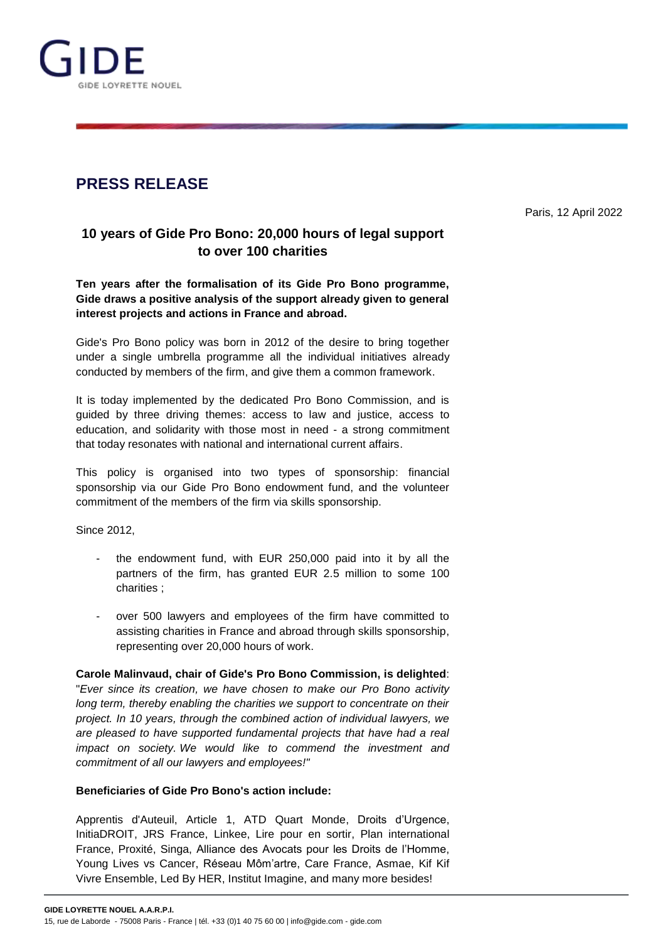

# **PRESS RELEASE**

Paris, 12 April 2022

## **10 years of Gide Pro Bono: 20,000 hours of legal support to over 100 charities**

**Ten years after the formalisation of its Gide Pro Bono programme, Gide draws a positive analysis of the support already given to general interest projects and actions in France and abroad.**

Gide's Pro Bono policy was born in 2012 of the desire to bring together under a single umbrella programme all the individual initiatives already conducted by members of the firm, and give them a common framework.

It is today implemented by the dedicated Pro Bono Commission, and is guided by three driving themes: access to law and justice, access to education, and solidarity with those most in need - a strong commitment that today resonates with national and international current affairs.

This policy is organised into two types of sponsorship: financial sponsorship via our Gide Pro Bono endowment fund, and the volunteer commitment of the members of the firm via skills sponsorship.

Since 2012,

- the endowment fund, with EUR 250,000 paid into it by all the partners of the firm, has granted EUR 2.5 million to some 100 charities ;
- over 500 lawyers and employees of the firm have committed to assisting charities in France and abroad through skills sponsorship, representing over 20,000 hours of work.

**Carole Malinvaud, chair of Gide's Pro Bono Commission, is delighted**: "*Ever since its creation, we have chosen to make our Pro Bono activity long term, thereby enabling the charities we support to concentrate on their project. In 10 years, through the combined action of individual lawyers, we are pleased to have supported fundamental projects that have had a real impact on society. We would like to commend the investment and commitment of all our lawyers and employees!"*

### **Beneficiaries of Gide Pro Bono's action include:**

Apprentis d'Auteuil, Article 1, ATD Quart Monde, Droits d'Urgence, InitiaDROIT, JRS France, Linkee, Lire pour en sortir, Plan international France, Proxité, Singa, Alliance des Avocats pour les Droits de l'Homme, Young Lives vs Cancer, Réseau Môm'artre, Care France, Asmae, Kif Kif Vivre Ensemble, Led By HER, Institut Imagine, and many more besides!